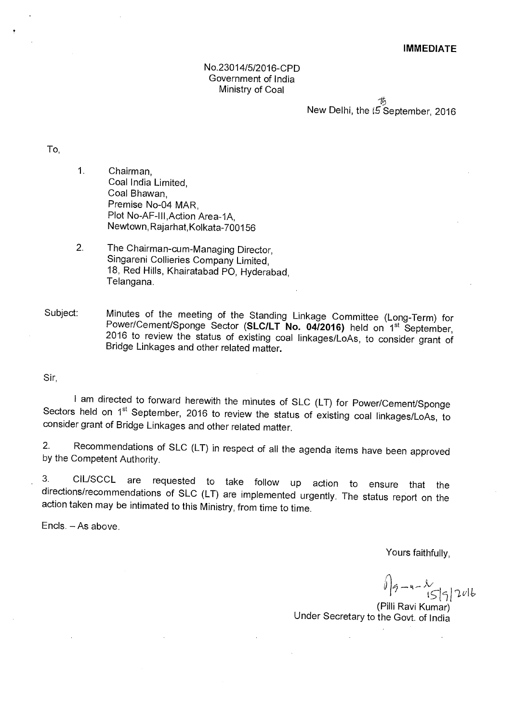# No.23014/5/2016-CPD Government of India Ministry of Coal

New Delhi, the (5 September, 2016

To,

1. Chairman, Coal India Limited, Coal Bhawan, Premise No-04 MAR, Plot No-AF-III,Action Area-1A, Newtown,Rajarhat,Kolkata-700156

2. The Chairman-cum-Managing Director, Singareni Collieries Company Limited, 18, Red Hills, Khairatabad PO, Hyderabad, Telangana.

Subject: Minutes of the meeting of the Standing Linkage Committee (Long-Term) for Power/Cement/Sponge Sector (SLC/LT No. 04/2016) held on 1<sup>st</sup> September, 2016 to review the status of existing coal linkages/LoAs, to consider grant of Bridge Linkages and other related matter.

Sir,

I am directed to forward herewith the minutes of SLC (LT) for Power/Cement/Sponge Sectors held on 1<sup>st</sup> September, 2016 to review the status of existing coal linkages/LoAs, to consider grant of Bridge Linkages and other related matter.

2. Recommendations of SLC (LT) in respect of all the agenda items have been approved by the Competent Authority.

3. CIL/SCCL are requested to take follow up action to ensure that the directions/recommendations of SLC (LT) are implemented urgently. The status report on the action taken may be intimated to this Ministry, from time to time.

Encls. — As above.

Yours faithfully,

 $-$ 4 $1559$  $1016$ 

(Pilli Ravi Kumar) Under Secretary to the Govt. of India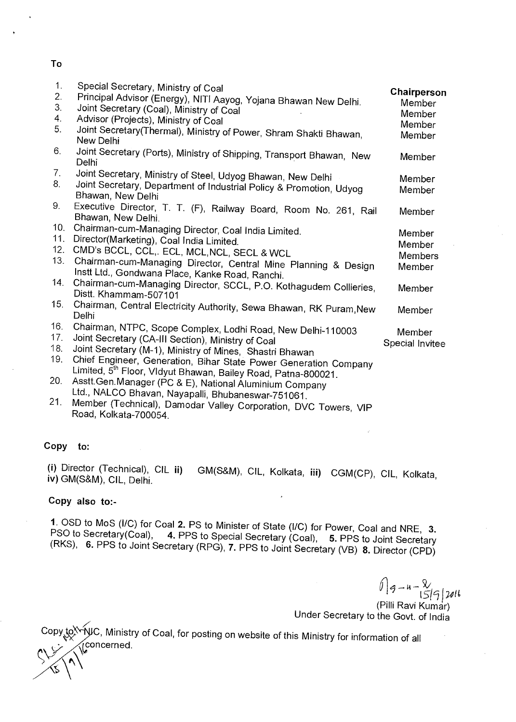# **To**

| 1.<br>2.<br>3.<br>4. | Special Secretary, Ministry of Coal<br>Principal Advisor (Energy), NITI Aayog, Yojana Bhawan New Delhi.<br>Joint Secretary (Coal), Ministry of Coal<br>Advisor (Projects), Ministry of Coal | Chairperson<br>Member<br>Member<br>Member |
|----------------------|---------------------------------------------------------------------------------------------------------------------------------------------------------------------------------------------|-------------------------------------------|
| 5.                   | Joint Secretary(Thermal), Ministry of Power, Shram Shakti Bhawan,<br>New Delhi                                                                                                              | Member                                    |
| 6.                   | Joint Secretary (Ports), Ministry of Shipping, Transport Bhawan, New<br>Delhi                                                                                                               | Member                                    |
| 7.                   | Joint Secretary, Ministry of Steel, Udyog Bhawan, New Delhi                                                                                                                                 | Member                                    |
| 8.                   | Joint Secretary, Department of Industrial Policy & Promotion, Udyog<br>Bhawan, New Delhi                                                                                                    | Member                                    |
| 9.                   | Executive Director, T. T. (F), Railway Board, Room No. 261, Rail<br>Bhawan, New Delhi.                                                                                                      | Member                                    |
| 10.                  | Chairman-cum-Managing Director, Coal India Limited.                                                                                                                                         | Member                                    |
| 11.                  | Director(Marketing), Coal India Limited.                                                                                                                                                    | Member                                    |
| 12.                  | CMD's BCCL, CCL,. ECL, MCL, NCL, SECL & WCL                                                                                                                                                 | <b>Members</b>                            |
| 13.                  | Chairman-cum-Managing Director, Central Mine Planning & Design<br>Instt Ltd., Gondwana Place, Kanke Road, Ranchi.                                                                           | Member                                    |
| 14.                  | Chairman-cum-Managing Director, SCCL, P.O. Kothagudem Collieries,<br>Distt. Khammam-507101                                                                                                  | Member                                    |
| 15.                  | Chairman, Central Electricity Authority, Sewa Bhawan, RK Puram, New<br>Delhi                                                                                                                | Member                                    |
| 16.                  | Chairman, NTPC, Scope Complex, Lodhi Road, New Delhi-110003                                                                                                                                 |                                           |
| 17.                  | Joint Secretary (CA-III Section), Ministry of Coal                                                                                                                                          | Member                                    |
| 18.                  | Joint Secretary (M-1), Ministry of Mines, Shastri Bhawan                                                                                                                                    | Special Invitee                           |
| 19.                  | Chief Engineer, Generation, Bihar State Power Generation Company                                                                                                                            |                                           |
|                      | Limited, 5 <sup>th</sup> Floor, Vldyut Bhawan, Bailey Road, Patna-800021.                                                                                                                   |                                           |
| 20.                  | Asstt. Gen. Manager (PC & E), National Aluminium Company                                                                                                                                    |                                           |
|                      | Ltd., NALCO Bhavan, Nayapalli, Bhubaneswar-751061.                                                                                                                                          |                                           |
| 21.                  | Member (Technical), Damodar Valley Corporation, DVC Towers, VIP                                                                                                                             |                                           |
|                      | Road, Kolkata-700054.                                                                                                                                                                       |                                           |

### **Copy to:**

(i) Director (Technical), CIL **ii)** GM(S&M), CIL, Kolkata, **iii)** CGM(CP), CIL, Kolkata, **iv)** GM(S&M), CIL, Delhi.

# **Copy also to:-**

1. OSD to MoS (I/C) for Coal 2. PS to Minister of State (I/C) for Power, Coal and NRE, 3. PSO to Secretary(Coal), 4. PPS to Special Secretary (Coal), 5. PPS to Joint Secretary (RKS), 6. PPS to Joint Secretary (RPG), 7. PPS

 $\sqrt{9-4-2}$ <br>15/9/2016 (Pilli Ravi Kumar)

Under Secretary to the Govt. of India

Copy to Yill C, Ministry of Coal, for posting on website of this Ministry for information of all \ceconcerned.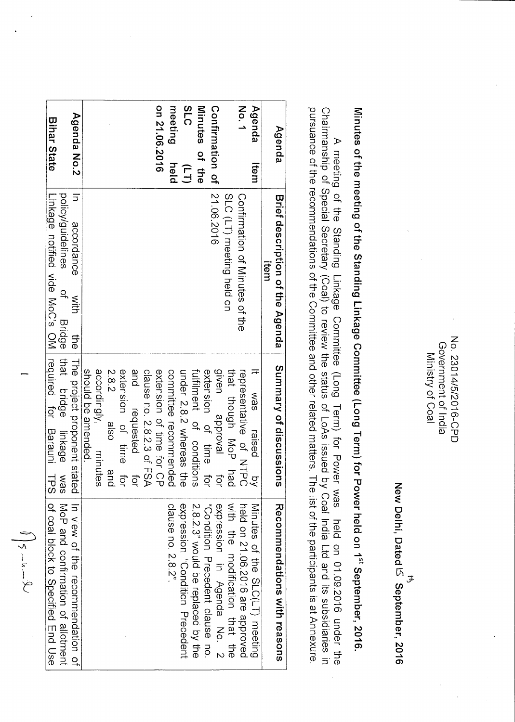New Delhi, Dated IS September, 2016 <del>لئ</del>ى

Minutes of the meeting of the Standing Linkage Committee (Long Term) for Power held on 1<sup>st</sup> September, 2016.

A meeting of the Standing Linkage Committee (Long Term) for Power was held on 01.09.2016 under the Chairmanship of Special Secretary (Coal) to review the status of LoAs issued by Coal India Ltd and its subsidiaries in purs

| Agenda               | Brief description of the Agenda<br>ltem                 | Summary of discussions       | Recommendations with reasons       |
|----------------------|---------------------------------------------------------|------------------------------|------------------------------------|
| Agenda<br>Item       |                                                         | was<br>raised<br>g           | Minutes of the SLC(LT) meeting     |
| No.1                 | Confirmation of Minries of the                          | representative of NTPC       | held on 21.06.2016 are approved    |
|                      | SLC (LT) meeting held on                                | that though MoP had          | with the modification that the     |
| Confirmation of      | 21.06.2016                                              | given approval<br>ו<br>ק     | expression in Agenda No. 2         |
|                      |                                                         | extension of time for        | "Condition Precedent clause no     |
| Minutes of the       |                                                         | fulfillment of conditions    | 2.8.2.3" would be replaced by the  |
| <b>2LC</b><br>T<br>J |                                                         | under 2.8.2 whereas the      | expression difficult Precedent     |
| meeting<br>held      |                                                         | committee recommended        | clause no. 2.8.2"                  |
| on 21.06.2016        |                                                         | extension of time for CP     |                                    |
|                      |                                                         | clause no. 2.8.2.3 of FSA    |                                    |
|                      |                                                         | and<br>requested<br>ior      |                                    |
|                      |                                                         | extension of time for        |                                    |
|                      |                                                         | 2.8.2<br>osle<br>and         |                                    |
|                      |                                                         | accordingly, minutes         |                                    |
|                      |                                                         | should be amended            |                                    |
| Agenda No.2          | accordance<br>with<br>당.<br>이                           | The project proponent stated | In view of the recommendation of   |
|                      | policy/guidelines<br>of Bridge                          | that bridge linkage<br>was   | MoP and confirmation of allotment  |
| <b>Bihar State</b>   | Linkage notified vide MoC's OM required for Darauni HPS |                              | of coal block to Specified mad Use |

 $\sqrt{5-u-9}$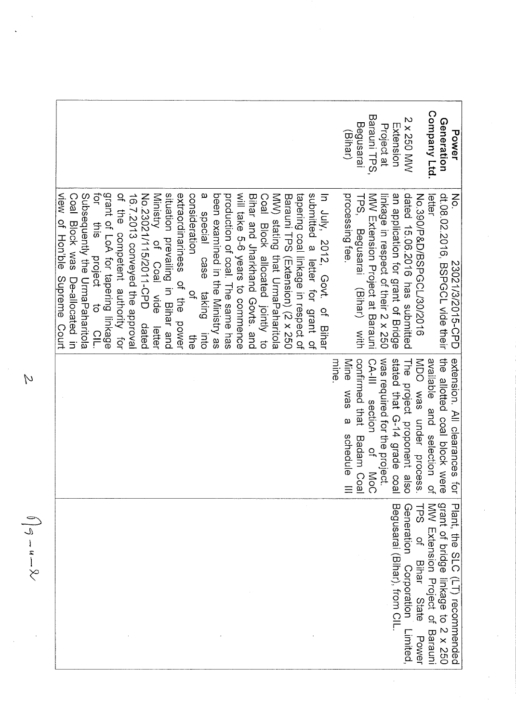|                                                                                                                                                                                                                                                                                                                                                                                                                                                                                                                                                                                                                                                                                                                                                                                                                                                                                                                | Begusarai<br>(Bihar)                                                | Barauni TPS,<br>Project at                                                 | <b>Z x 250 MW</b><br>Extension                                       | Company Ltd.                                                                          | Generation<br>Power                                                                                 |
|----------------------------------------------------------------------------------------------------------------------------------------------------------------------------------------------------------------------------------------------------------------------------------------------------------------------------------------------------------------------------------------------------------------------------------------------------------------------------------------------------------------------------------------------------------------------------------------------------------------------------------------------------------------------------------------------------------------------------------------------------------------------------------------------------------------------------------------------------------------------------------------------------------------|---------------------------------------------------------------------|----------------------------------------------------------------------------|----------------------------------------------------------------------|---------------------------------------------------------------------------------------|-----------------------------------------------------------------------------------------------------|
| tor<br><br><u>I</u><br>view of Hon'ble<br>grant of LoA for tapering linkage<br>$\sigma$<br>Subsequently the UrnaPahitola<br>of the<br>situation prevailing in Bihar and<br>extraordinariness<br>consideration<br>will take 5-6 years to connence<br>submitted a letter for grant of<br>been examined in the Ministry as<br>MW) stating that UrmaPaharitola<br>tapering coal linkage in respect of<br>In July, 2012, Govt. of Bihar<br>Coal Block was De-allocated<br>16.7.2013 conveyed the approval<br><b>No.23021115/2011-CPD</b><br>production of coal. The same has<br>Bihar and Jharkhand Govts, and<br>Ministry<br>Coal Block allocated jointly to<br>Barauni TPS (Extension) (2 x 250<br>special<br>$\frac{1}{2}$<br>competent authority for<br>of Coal<br>project to<br>eseo<br>Supreme Court<br>of the power<br>$Q_{\!n}$<br>taking<br>Nide<br>C1<br>dated<br>letter<br>into<br>the<br>$\overline{5}$ | processing tee.<br>TPS,<br>Begusarai<br>(Bihar) with                | MW Extension Project at Barauni<br>linkage in respect of their 2 x 250     | dated 15.06.2016 has submitted<br>an application for grant of Bridge | No.390/P&D/BSPGCL/30/2016<br>letter                                                   | dt 08.02.2010 BSPGCL vide their<br>$\mathsf{K}$<br>23021/3/2015-CPD                                 |
| mine                                                                                                                                                                                                                                                                                                                                                                                                                                                                                                                                                                                                                                                                                                                                                                                                                                                                                                           | confirmed that<br>Mine<br>SBM<br>$\omega$<br>Badam Coal<br>schedule | was required for the project.<br>CA-III<br>section<br>$\frac{1}{2}$<br>MoC | stated that G-14 grade coal<br>The project proponent also            | available and selection of<br>MDO was under process.                                  | the allotted coal block were<br>extension.<br>All clearances for                                    |
|                                                                                                                                                                                                                                                                                                                                                                                                                                                                                                                                                                                                                                                                                                                                                                                                                                                                                                                |                                                                     |                                                                            | Begusarai (Bihar), from CIL<br>Generation<br>Corporation<br>Limited  | MW Extension Project of Barauni<br>LPS<br>S<br>$\overline{a}$<br>Bihar State<br>Power | grant of bridge linkage to 2 x 250<br>Plant, the<br><b>SLC</b><br>$\widehat{\Gamma}$<br>recommended |

 $\overline{M}$ 

 $\bigcap \sigma = u - \Omega$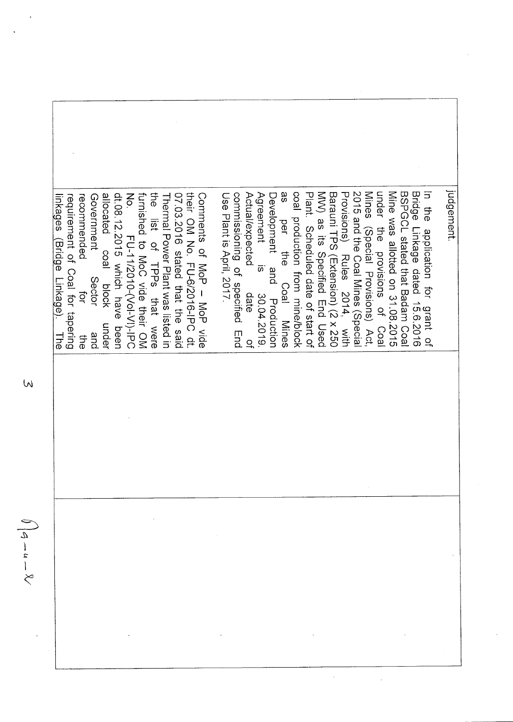Judgement. 9S commissioning of specified End Actual/expected MV) as its Specified End Used 2015 and the Coal Mines (Specia Mines (Special Provisions) Act, BSPGCL stated that Badam Coa Bridge Linkage dated 15.6.2016 In the application for grant o No. the 07.03.2016 stated that the said Use Plant is April, 2017. Agreement Development and coal production from mine/block Plant. Scheduled date of start o Barauni TPS (Extension) (2 x 250 Provisions) Rules 2014, with under their OM No. FU-6/2016-IPC dt Mine was allotted on 31.08.2015 requirement of Coal for tapering recommended Government allocated coal dt.08.12.2015 which have been furnished to MoC vide their OM Thermal Power Plant was listed in Connects of Nor - Nor vide inkages (Bridge Linkage). list of TPPs that were per the the provisions of FU-11/2010-(Vol-VI)-IPC  $\overline{\omega}$ Sector Coal Mines block  $\overrightarrow{Q}$ date 30.04.2019 Production under Coa **The** and 라.  $\overline{a}$ 

W

 $\frac{4-u-x}{2}$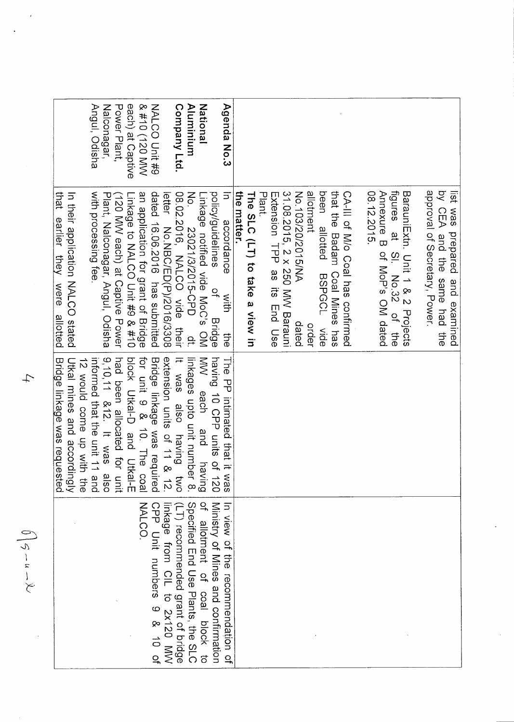|                                               |                                                                                                                       | that earlier they were allotted                     |                  |
|-----------------------------------------------|-----------------------------------------------------------------------------------------------------------------------|-----------------------------------------------------|------------------|
|                                               | Utkal mines and according<br>12 would come up with the<br>Utkal mines and accordingly<br>Bridge linkage was requested | In their application NALOO stated                   |                  |
|                                               |                                                                                                                       |                                                     |                  |
|                                               | 9,10,11 $812$ . It was also<br>informed that the unit 11 and                                                          | with processing fee                                 | Angul, Odisha    |
|                                               |                                                                                                                       | Plant, Nalconagar, Angul, Odisha                    | Nalconagar,      |
|                                               | had been allocated for unit                                                                                           | (120 MW each) at Captive Power                      | Power Plant,     |
|                                               | DIOCK Uftai-D and Ufkai-H                                                                                             | Linkage to NALCO Unit #9 & #10                      | each) at Captive |
| <b>NALCO</b>                                  | for unit 9 & 10. The coal                                                                                             | an application for grant of Bridge                  | & #10 (120 MW    |
| CPP<br>Unit numbers<br>9 & 10 of              | Bridge linkage was required                                                                                           | dated 16.06.2016 has submitted                      | NALCO Unit #9    |
| Inkage<br>from CIL to 2x120 MW                | It was also having two<br>extension units of 11 & 12.                                                                 | letter<br>No.NBC/ED(P)/2016/3308                    |                  |
| (LT) recommended grant of bridge              |                                                                                                                       | 08.02.2016, NALCO vide their                        | Company Ltd.     |
| Specified End Use Plants, the SLC             | linkages upto unit number<br>$\infty$                                                                                 | No.<br>23021/3/2015-CPD<br>ip.<br>P                 | Aluminium        |
| $Q_{\uparrow}$<br>allotation of coal block to | $\leqslant$<br>each<br>and<br>baving                                                                                  | inkage notified vide MoC's OM                       | National         |
| Ministry of Mines and contirmation            | having 10 CPP units of 120                                                                                            | policy/guidelines<br>$\frac{1}{2}$<br><b>Bridge</b> |                  |
| In view of the recommendation of              | The TP intimated that it was                                                                                          | $\Xi$<br>accordance<br>with<br>も<br>この              | Agenda No.3      |
|                                               |                                                                                                                       | the matter.                                         |                  |
|                                               |                                                                                                                       | The SLC (LT) to take a view in                      |                  |
|                                               |                                                                                                                       | Plant.                                              |                  |
|                                               |                                                                                                                       | Extension TPP as its may Use                        |                  |
|                                               |                                                                                                                       | 31.08.2015, 2 x 250 MW Barauni                      |                  |
|                                               |                                                                                                                       | No.103/20/2015/NA<br>dated                          |                  |
|                                               |                                                                                                                       | allotment<br>order                                  |                  |
|                                               |                                                                                                                       | been allotted<br>BSPGCL vide                        |                  |
|                                               |                                                                                                                       | that the Badam Coal Mines has                       |                  |
|                                               |                                                                                                                       | CA-III of M/o Coal has confirmed                    |                  |
|                                               |                                                                                                                       |                                                     |                  |
|                                               |                                                                                                                       | 08.12.2015.<br>Annextre B of MoD's OM dated         |                  |
|                                               |                                                                                                                       | figures at<br>SI. No.32<br>of the                   |                  |
|                                               |                                                                                                                       | BarachilLxtn: Unit 1 & 2 Projects                   |                  |
|                                               |                                                                                                                       |                                                     |                  |
|                                               |                                                                                                                       | approval of Secretary, Power.                       |                  |
|                                               |                                                                                                                       | by CEA and the same had the                         |                  |
|                                               |                                                                                                                       | list was<br>prepared and examined                   |                  |

 $\downarrow$ 

 $\hat{\epsilon}$ 

 $\bigcap \varsigma = u - \lambda.$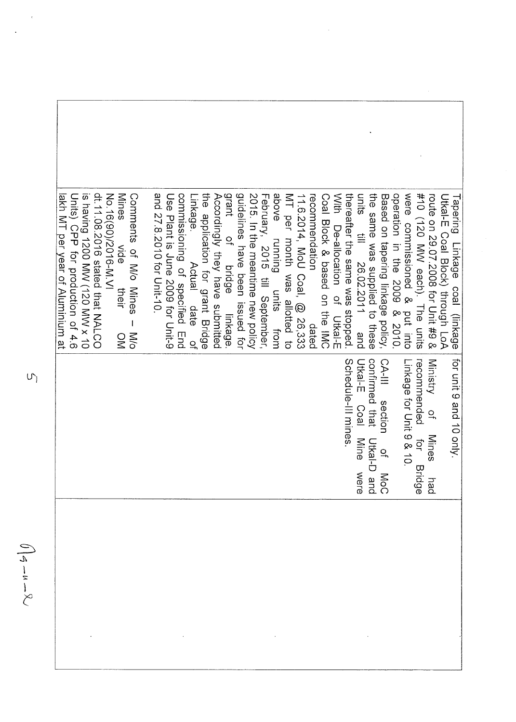| dt.11.08.2016 stated that NALCO<br>No.16(90)/2016-NI<br>No.19<br>Units) CPP for production of 4.6<br>Mines<br>is having 1200 MW (120 MW x 10<br>lakh MT per year of Aluminium at<br>Comments of M/O Mines<br>$rac{1}{20}$<br>their<br>$\mathbf{I}$<br>$\frac{1}{20}$<br>$\frac{0}{2}$ | and 27.8.2010 for Unit-10.<br>grant<br>guidelines have been issued for<br>2015. In the meantime new policy<br>the<br><br>commissioning of specified End<br>Accordingly they have submitted<br>Use Plant is dup 2009 tor Dirt-9<br>Linkage<br>application for grant Bridge<br>of bridge<br>Actual<br>date<br>linkage<br>$\frac{1}{2}$ | above running units from<br>February, 2015 till September,<br>thereafter the same was stopped<br>MT per month was allotted to<br>11.6.2014, MoU Coal, @ 26,333<br>recommendation<br>With<br>Coal Block & based on the IMC<br>De-allocation of<br>units<br>Dtkal-E<br>dated | operation in the 2009 & 2010<br>were commissioned & put into<br>the same was supplied<br>#10 (120 MW each). The units<br>units<br>Based on tapering linkage policy,<br>route on 29.07.2008 for Unit #9 &<br>Dikal-E Coal Block) through Lo<br><b>Fapering</b><br>$\equiv$<br>Linkage<br>26.02.2011 and<br>coal (linkage<br>to these |
|---------------------------------------------------------------------------------------------------------------------------------------------------------------------------------------------------------------------------------------------------------------------------------------|--------------------------------------------------------------------------------------------------------------------------------------------------------------------------------------------------------------------------------------------------------------------------------------------------------------------------------------|----------------------------------------------------------------------------------------------------------------------------------------------------------------------------------------------------------------------------------------------------------------------------|-------------------------------------------------------------------------------------------------------------------------------------------------------------------------------------------------------------------------------------------------------------------------------------------------------------------------------------|
|                                                                                                                                                                                                                                                                                       |                                                                                                                                                                                                                                                                                                                                      | Schedule-III mines.                                                                                                                                                                                                                                                        | recommended<br>confirmed that<br>for unit 9 and 10 only.<br>Utkal-E<br>CA-III<br>Ministry<br>Linkage for Unit 9 & 10.<br>section<br><b>Coal</b><br>$\frac{1}{2}$<br><b>Mines</b><br>Mine<br>Utkal-D<br>פֿ<br>ב<br>$Q_{\overline{a}}$<br>Bridg<br>MoC<br>C<br>were<br>hø<br>ര ച                                                      |
|                                                                                                                                                                                                                                                                                       |                                                                                                                                                                                                                                                                                                                                      |                                                                                                                                                                                                                                                                            |                                                                                                                                                                                                                                                                                                                                     |

 $\sigma$ 

 $\iint_{\mathcal{A}} -u - \mathcal{R}$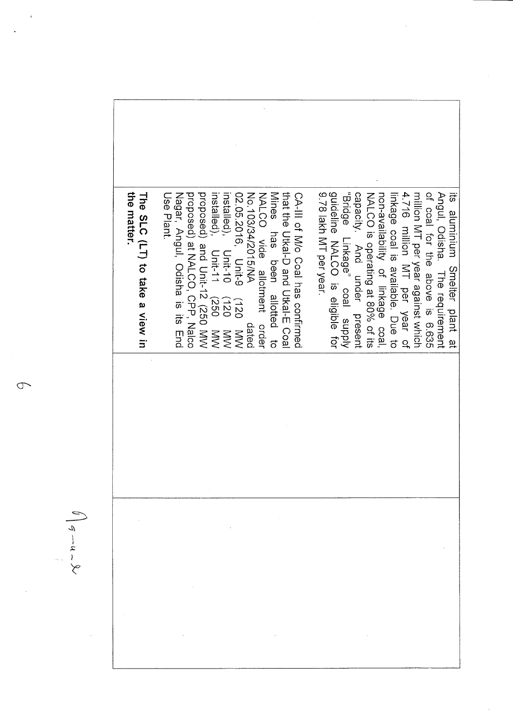

Œ

 $q-u-\chi$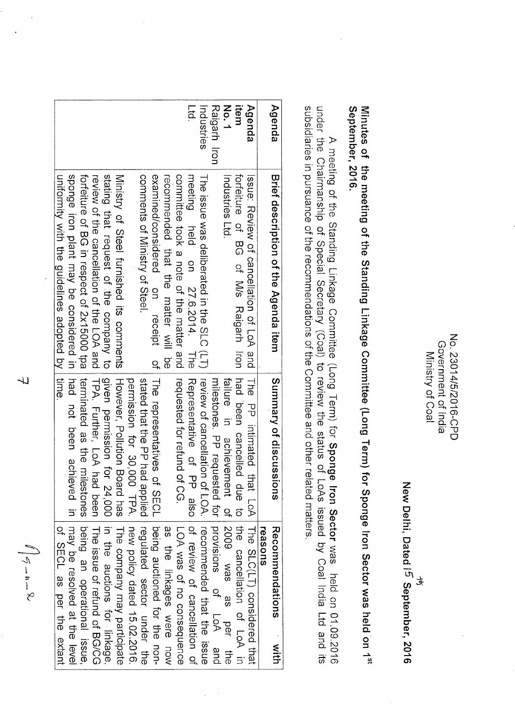No. 23014/5/2016-CPD Government of India Ministry of Coal

New Delhi, Dated I5 September, 2016

र्द

September, 2016. Minutes of the meeting of the Standing Linkage Committee (Long Term) for Sponge Iron Sector was held on 1<sup>st</sup>

A meeting of the Standing Linkage Committee (Long Term) for Sponge Iron Sector was held on 01.09.2016<br>under the Chairmanship of Special Secretary (Coal) to review the status of LoAs issued by Coal India Ltd and its subsidiaries in pursuance of the recommendations of the Committee and other related matters.

| Agenda       | Brief description of the Agenda item             | Summary of discussion<br>5                     | Recommendations<br><b>NINT</b> |
|--------------|--------------------------------------------------|------------------------------------------------|--------------------------------|
|              |                                                  |                                                | reasons                        |
| Agenda       | lssue: Review of cancellation of LoA and         | The PP intimated that LoA                      | The SLC(LT) considered that    |
| item         | foreithe of BG of Missure ion                    | had been cancelled due to                      | the cancellation of LoA in     |
| No.1         | Industries Ltd.                                  | failure in achievement of                      | 2009 was as per the            |
| Raigarh Iron |                                                  | milestones. PP requested for provisions of LoA | and                            |
| Industries   | The issue was deliberated in the SLC (LT)        | review of cancellation of LOA.                 | recommended that the issue     |
| $F_{\rm q}$  | meeting<br>held on 27.6.2014. The                | <b>The of Phanuseum</b><br>also                | of review of cancellation of   |
|              | committee took a note of the matter and          | requested for refund of CG.                    | LOA was of no consequence      |
|              | be like that the matter vill be                  |                                                | as the linkages were now       |
|              | examined/considered on receipt<br>$\overline{a}$ | The representatives of NECL                    | perional tor the non-          |
|              | comments of Ministry of Steel.                   | stated that the PP had applied                 | regulated sector under the     |
|              |                                                  | permission to 30,000 TPA.                      | new policy dated 15.02.2016    |
|              | Ministry of Otel Turnished its comments          | However, Pollution Board has                   | The company may participate    |
|              | stating that request of the company to           | given permission for 24,000                    | in the auctions for linkage    |
|              | review of the cancellation of the LOA and        | TPA. Further, LoA had been                     | Ihe issue of refund of BG/CG   |
|              | torelitie of BG in respect of 2x19000 tpa        | terninated as the milestones                   | being an operational issue     |
|              | sponge iron plant may be considered in           | pred on the level at the lesolved at the level |                                |
|              | uniformity with the guidelines adopted by Ltime  |                                                | of SECL as per the extant      |

JJ

 $\mathbb{I} \Big| \mathbb{I} - \mathfrak{n} - \mathbb{R}.$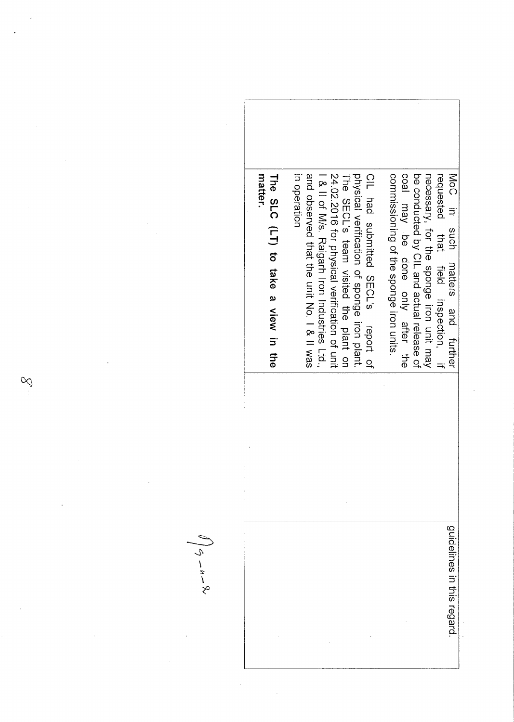| matter<br>The SLC (LT) to take a view in the | 24.02.2016 for physical vetification of unit<br>In operation<br>and observed that the unit No. 1 & 11 kas<br>physical verification of sponge iron plant.<br>CIL had submitted SECL's report of<br>I & II of M/s. Raigarh Iron Industries Ltd.,<br>The SECL's team visited the plant on | be conducted by CIL and actual release of<br>commissioning of the sponge iron units<br>coal may be done only after the<br>NoC<br>necessary, for the sponge iron unit may<br>requested<br>$\overline{5}$<br>that field inspection, if<br>dous<br>matters<br>and further |
|----------------------------------------------|----------------------------------------------------------------------------------------------------------------------------------------------------------------------------------------------------------------------------------------------------------------------------------------|------------------------------------------------------------------------------------------------------------------------------------------------------------------------------------------------------------------------------------------------------------------------|
|                                              |                                                                                                                                                                                                                                                                                        | guidelines in this regard                                                                                                                                                                                                                                              |

 $\ddot{\phantom{0}}$ 

 $\infty$ 

 $\hat{\boldsymbol{\theta}}$ 

 $\frac{1}{2}$ 

 $\mathcal{A}^{\mathcal{A}}$ 

 $\hat{\vec{r}}$ 

 $\frac{1}{2}$ 

 $\int \phi_{\sigma} - u - \varphi$ 

 $\label{eq:2} \frac{1}{\sqrt{2}}\left(\frac{1}{\sqrt{2}}\right)^{2} \left(\frac{1}{\sqrt{2}}\right)^{2}$ 

 $\hat{\mathcal{L}}$ 

 $\frac{1}{2}$ 

 $\hat{\boldsymbol{\gamma}}$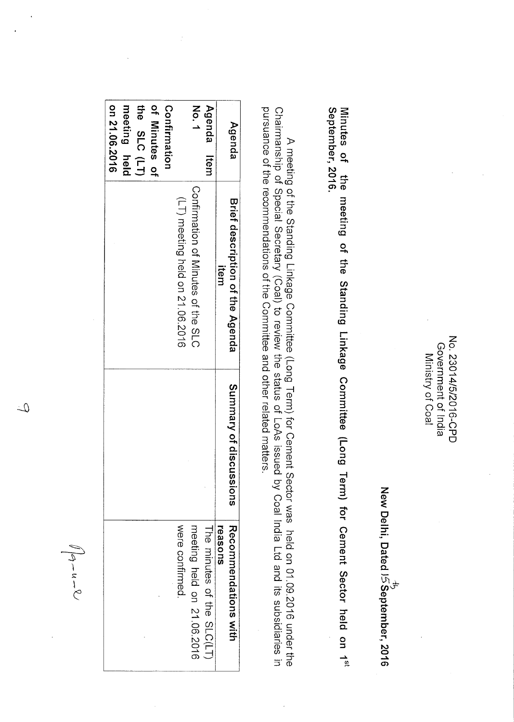No. 23014/5/2016-CPD Government of India Ministry of Coal

New Delhi, Dated IS September, 2016<br>New Delhi, Dated I*S* September, 2016

Minutes of the meeting of the Standing Linkage Committee (Long Term) for Cement Sector held on 1<sup>st</sup><br>September, 2016.

pursuance of the recommendations of the Committee and other related matters. A meeting of the Standing Linkage Committee (Long Term) for Cement Sector was held on 01.09.2016 under the<br>Chairmanship of Special Secretary (Coal) to review the status of LoAs issued by Coal India Ltd and its subsidiaries

| Agenda        | Brief description of the Agenda    | Summary of discussions | Reconnerdations with       |
|---------------|------------------------------------|------------------------|----------------------------|
|               | item                               |                        | reasons                    |
| Agenda Item   |                                    |                        | The minutes of the SLC(LT) |
| No.1          | Continuation of Minutes of the MLC |                        | meeting held on 21.06.2016 |
|               | (LT) meeting held on 21.00.2016    |                        | were confirmed.            |
| Confirmation  |                                    |                        |                            |
| of Minutes of |                                    |                        |                            |
| the SLC (LT)  |                                    |                        |                            |
| meeting held  |                                    |                        |                            |
| on 21.06.2016 |                                    |                        |                            |

 $\sqrt{4-u-8}$ 

 $\mathcal{L}$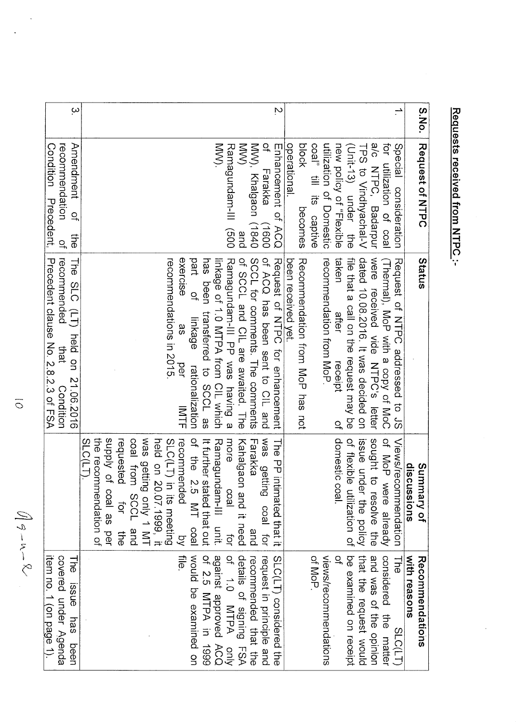Requests received from NTPC :-

 $\frac{1}{2}$ 

 $\displaystyle{\iint \mathcal{G} - u - \mathcal{R}}$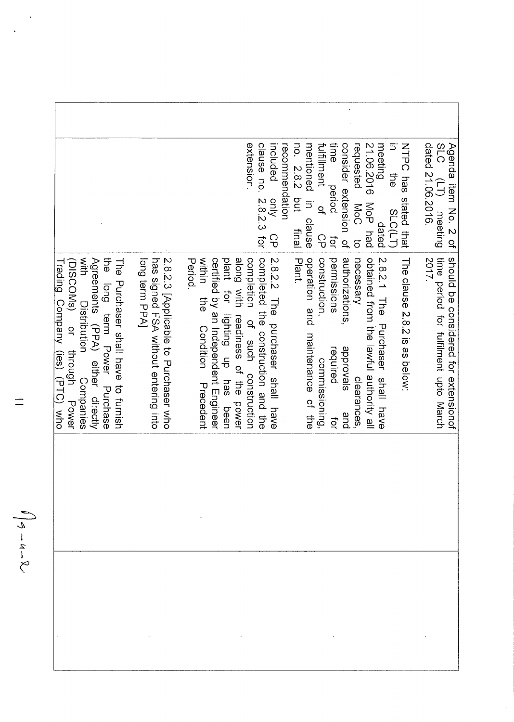|                                                                                                                                                                                                                               |                                                                                                | extension.                                                                                                                                                                                                             | clause no. 2.8.2.3 for<br>recommendation<br>ncluded<br>qnly<br>ငှ        | fulfillment<br>time<br>21.06.2016<br>consider extension of<br>requested<br>no. 282<br>mentioned in<br>meeting<br>period<br>put<br>MoP<br><b>NoC</b><br>$\overline{a}$<br>clause<br>dated<br>had<br>linal<br>ငှ<br>ပ<br>tor<br>$\vec{o}$                         | NHPC pas stated that<br>SLC (LT) mee<br>dated 21.06.2016.<br>Agenda item No. 2 of<br>$\Xi$<br>11<br>19<br>meeting<br><b>SLC(LT</b> |
|-------------------------------------------------------------------------------------------------------------------------------------------------------------------------------------------------------------------------------|------------------------------------------------------------------------------------------------|------------------------------------------------------------------------------------------------------------------------------------------------------------------------------------------------------------------------|--------------------------------------------------------------------------|-----------------------------------------------------------------------------------------------------------------------------------------------------------------------------------------------------------------------------------------------------------------|------------------------------------------------------------------------------------------------------------------------------------|
| Mith<br>the long term Power Purchase<br>Agreements (PA) either directly<br>(DISCOMs)<br>The Purchaser shall have to furnish<br>Trading Company (ies) (PTC) who<br>Distribution<br>$\ddot{a}$<br>through<br>Companies<br>Power | 2.8.2.3 [Applicable to Purchaser who<br>long term PPAI<br>has signed FSA without entering into | within<br>certified by an Independent Engineer<br>along with readiness of the power<br>completion<br>Period.<br>plant<br>for<br>the<br><br>dn Butting<br>of such construction<br>Condition<br>has<br>Precedent<br>been | completed the construction and the<br>2.82.2<br>The purchaser shall have | 2.8.2.1 The phoneser shall have<br>authorizations,<br>obtained from the lawful authority all<br>operation and<br>construction,<br>permissions<br>necessary<br>Plant.<br>maintenance of the<br>sievorge<br>required<br>commissioning,<br>clearances<br>and<br>ţď | time period for fulfilment upto March<br>should be<br>The clause 2.8.2 is as below:<br>2017.<br>considered for extensionat         |
|                                                                                                                                                                                                                               |                                                                                                |                                                                                                                                                                                                                        |                                                                          |                                                                                                                                                                                                                                                                 |                                                                                                                                    |
|                                                                                                                                                                                                                               |                                                                                                |                                                                                                                                                                                                                        |                                                                          |                                                                                                                                                                                                                                                                 |                                                                                                                                    |

 $\frac{1}{2}$ 

 $\equiv$ 

 $\ddot{\phantom{a}}$ 

l,

 $\int_{\beta}$  -  $u-x$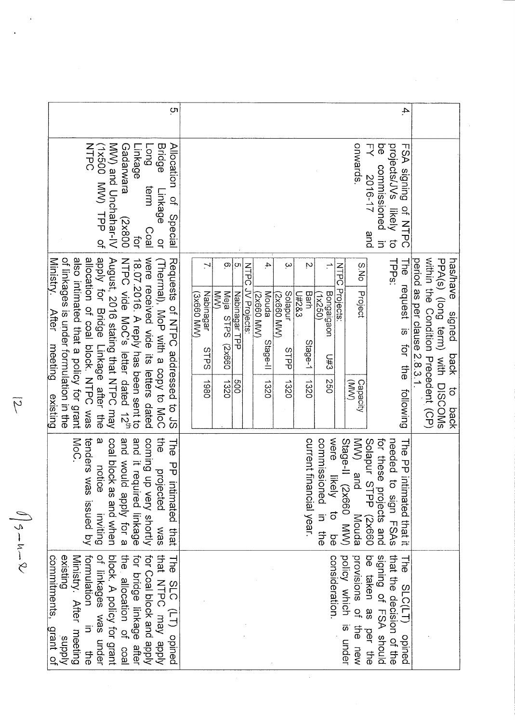| <u>(</u>                                                                                                                                                                                                                                                                                                                                                                                                                                                          | 4.                                                                                                                                                                                                                                                                                                                                                                                                                                                                                                                                                                                                                                                                                             |
|-------------------------------------------------------------------------------------------------------------------------------------------------------------------------------------------------------------------------------------------------------------------------------------------------------------------------------------------------------------------------------------------------------------------------------------------------------------------|------------------------------------------------------------------------------------------------------------------------------------------------------------------------------------------------------------------------------------------------------------------------------------------------------------------------------------------------------------------------------------------------------------------------------------------------------------------------------------------------------------------------------------------------------------------------------------------------------------------------------------------------------------------------------------------------|
| MW) and Unchahar-IV<br>NTPC<br>Gadarwara<br><b>Bridge</b><br>Allocation<br>(1X500 NVV) TPP of<br><b>Fong</b><br>-inkage<br>term<br>Linkage<br><u>្</u> ម<br>Special<br>008×2)<br><b>Coal</b><br>tor<br>$\overline{a}$                                                                                                                                                                                                                                             | onwards.<br>フ<br>ΘÓ<br>projects/JVs<br>FSA signing<br>commissioned<br>2016-17<br>likely<br>Of NTPC<br>and<br>$\vec{c}$<br>$\equiv$                                                                                                                                                                                                                                                                                                                                                                                                                                                                                                                                                             |
| of linkages is under formulation in the<br>also intimated that a policy for grant<br>allocation of coal plock. NHPC was<br>apply for Bridge Linkage after the<br>August, 2016 stating that NTPC may<br>18.07.2016. A reply has been sent to<br>NFPC vide MoC's letter dated 12 <sup>th</sup><br>were received vide its letters dated<br>Ministry.<br>Requests of NHPC addressed to JS<br>(Thermal), MoP with a copy to MoC<br><b>After</b><br>meeting<br>existing | within the Condition Precedent (CP)<br>PPA(s) (long term)<br>TPP <sub>S</sub> :<br>period as per clause 2.8.3.1.<br>has/have<br>The<br>$\Omega$<br>ုပ္ပာ<br>4<br>Ņ<br>ω<br>S.No<br><b>NTPC</b><br>$\div$<br><b>NTPC</b><br>request is for the<br>JV Projects:<br>Projects<br>Project<br>M <sub>W</sub><br>Meja<br>Nabinagar<br>Solapur<br>Barh<br>Bongaigaon<br>Nabinagar TPP<br>Rouda<br>C8Z#N<br>SX660 MW)<br>VVM 099XZ<br>Sxeed MW)<br>1x250)<br>signed<br><b>SHPS</b><br>Stage-1<br>Stage-II<br>099×2)<br><b>SLPS</b><br>STPP<br>with DISCOMs<br>back<br>U#3<br>097<br>009<br>1980<br>1320<br>1320<br>1320<br>1320<br>Capacity<br>$\widehat{\mathbb{S}}$<br>following<br>$\vec{o}$<br>back |
| $\omega$<br>tenders was issued by<br>pinow pue<br>and it required linkage<br>the<br><br>coal block as and when<br>coming up very shortly<br>MoC.<br><b>The</b><br>PP intimated<br>notice<br>projected<br>apply for a<br>inviting<br>that<br>was                                                                                                                                                                                                                   | were<br>WW)<br>for these<br>current financial year.<br>needed to<br>were likely to be<br>commissioned in the<br>Stage-II (2x660 MW)<br>Solapur<br>Solapur<br>SLPP<br>The PP inti<br>and<br>projects and<br>mated that it<br>sASH FSAs<br>099×2)<br>Mouda                                                                                                                                                                                                                                                                                                                                                                                                                                       |
| of linkages was under<br>communities<br>the allocation of coal<br>for bridge linkage after<br>for Coal block and apply<br>that NTPC may apply<br>formulation<br>existing<br>Ministry. After meeting<br>block. A policy for grant<br>commitments,<br><b>The</b><br>SLC (LT) opined<br>$\overline{5}$<br>grant of<br>kiddns<br>the<br>                                                                                                                              | that the decision of the<br>signing of FSA should<br>consideration.<br>policy which is under<br>provisions of the new<br>be taken<br><b>The</b><br>SLC(LT) opined<br>as<br>per the                                                                                                                                                                                                                                                                                                                                                                                                                                                                                                             |

 $\hat{\mathcal{A}}$ 

 $\ddot{\phantom{0}}$ 

 $\iint$   $\sigma = u - \nu$ 

 $\overline{\gamma}$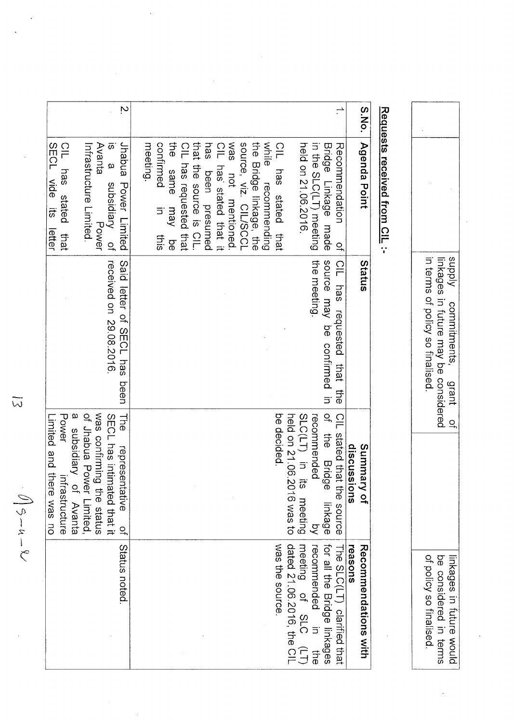|       |                                                                                     | linkages in future may be considered<br>Kiddns<br>in terms of policy so finalised<br>commitments,<br>grant | $\Omega$                                                                                  | of policy so finalised.<br>be considered in terms<br>inkages in future would |
|-------|-------------------------------------------------------------------------------------|------------------------------------------------------------------------------------------------------------|-------------------------------------------------------------------------------------------|------------------------------------------------------------------------------|
|       | Requests received from CIL :-                                                       |                                                                                                            |                                                                                           |                                                                              |
| S.No. | <b>Agenda Point</b>                                                                 | Status                                                                                                     | Summary of<br>discuss<br>suoi                                                             | reasons<br><b>Recommendations with</b>                                       |
|       | Recommendation<br>$\overline{a}$                                                    | <u>CIL</u><br>has<br>requested<br>that the                                                                 | CIL stated that the source                                                                | The SLC(LT)<br>clarified that                                                |
|       | Bridge<br>Linkage made                                                              | source may<br>9Q<br>confirmed<br>$\exists$                                                                 | $\overline{a}$<br>the Bridge<br>linkage                                                   | for all the Bridge linkages                                                  |
|       | in the SLC(LT) meeting<br>held on 21.06.2016.                                       | the meeting.                                                                                               | held on 21.06.2016 was to<br>SLC(LT) in its<br>recommended<br>meeting<br>$\tilde{\alpha}$ | recommended in<br>meeting of SLC<br>recommended<br>守<br>6                    |
|       | CIL has stated<br>that                                                              |                                                                                                            | be decided                                                                                | was the source.                                                              |
|       | while<br>recommending                                                               |                                                                                                            |                                                                                           |                                                                              |
|       | source, viz. CIL/SCCL<br>the Bridge linkage, the                                    |                                                                                                            |                                                                                           |                                                                              |
|       | sem<br>not mentioned.                                                               |                                                                                                            |                                                                                           |                                                                              |
|       | $\frac{1}{1}$<br>has' stated that it                                                |                                                                                                            |                                                                                           |                                                                              |
|       | that the source is CIL<br>has<br>been presumed                                      |                                                                                                            |                                                                                           |                                                                              |
|       | $\frac{\Omega}{\Gamma}$<br>has requested that                                       |                                                                                                            |                                                                                           |                                                                              |
|       | the<br>confirmed<br>same<br>Vem<br>5<br>this<br>9d                                  |                                                                                                            |                                                                                           |                                                                              |
|       | meeting                                                                             |                                                                                                            |                                                                                           |                                                                              |
| Ņ     | Jhabua<br>$\bar{\omega}$<br>$\boldsymbol{\omega}$<br>Power Limited<br>subsidiary of | received on 29.08.2016<br>Said letter of SECL has<br>peen                                                  | SECL has intimated that it<br>He<br>representative<br>$\overline{C}$                      | Status noted                                                                 |
|       | Avanta<br>Power                                                                     |                                                                                                            | was confirming the status                                                                 |                                                                              |
|       | Infrastructure Limited.                                                             |                                                                                                            | of Jhabua Power Limited,                                                                  |                                                                              |
|       | $\frac{1}{10}$<br>has<br>stated<br>that                                             |                                                                                                            | $\omega$<br>Power<br>subsidiary<br>Ξ<br>frastructure<br>of Avanta                         |                                                                              |
|       | SECL vide its<br>letter                                                             |                                                                                                            | Limited and there was no                                                                  |                                                                              |

 $\ddot{\phantom{0}}$ 

 $\sqrt{9-u-v}$ 

 $\overline{\omega}$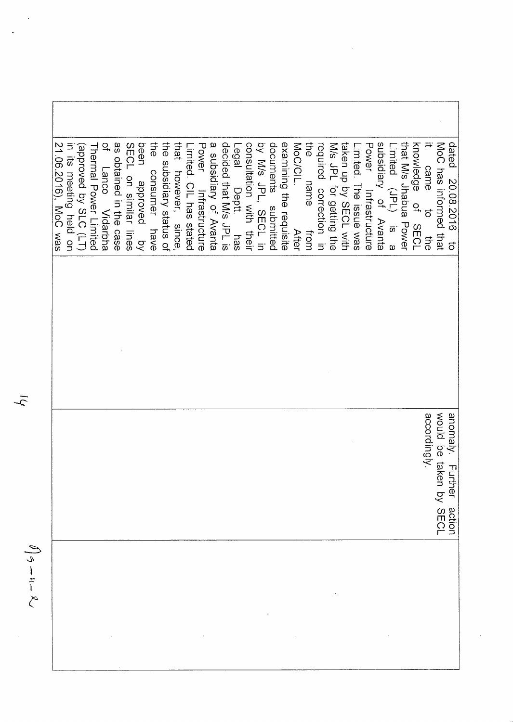the  $\overline{\mathcal{C}}$ as obtained in the case the that by M/s JPL, SECL in documents submitted examining the requisite required correction in subsidiary of Avanta 21.06.2016), MoC was SECL on similar lines been the subsidiary status of Power Infrastructure a subsidiary of Avanta decided that M/s JPL is Legal consultation with their MoC/CIL. M/s JPL for getting the **Power** that M/s Jhabua Power knowledge of SECL MoC has informed that dated 20.08.2016 in its meeting held on (approved by SLC (LT) taken up by SECL with Limited. The issue was Limited (JPL) is a Thermal Power Limited imited. CIL has stated came to Lanco Vidarbha name consumer have however, since, pevougge Deptt. has Infrastructure from **After** 다e<br>아 ka<br>K  $\vec{c}$ would be taken by SECL accordingly. anomaly. Further action

 $\sqrt{9} - 4 - 8$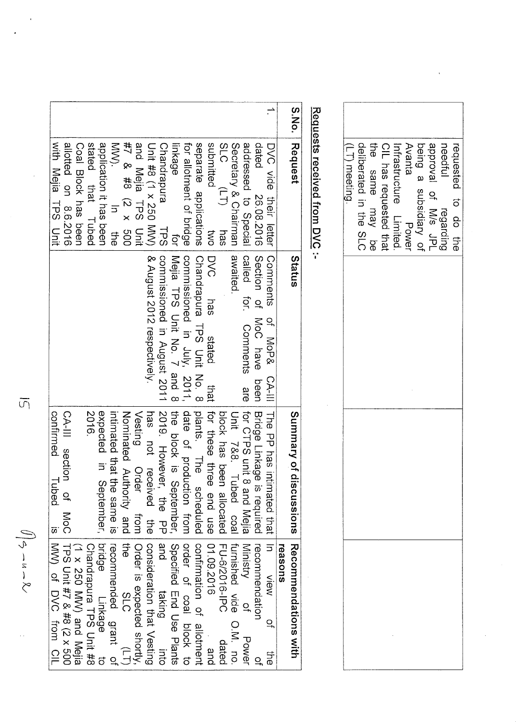|                                                |                                                                |                               |               |                        | CIL has requested that | Avanta<br>Power |                         |                       | equested to do the                       |
|------------------------------------------------|----------------------------------------------------------------|-------------------------------|---------------|------------------------|------------------------|-----------------|-------------------------|-----------------------|------------------------------------------|
| Status                                         |                                                                |                               |               |                        |                        |                 |                         |                       |                                          |
|                                                |                                                                |                               |               |                        |                        |                 |                         |                       |                                          |
|                                                |                                                                |                               |               |                        |                        |                 |                         |                       |                                          |
|                                                |                                                                |                               |               |                        |                        |                 |                         |                       |                                          |
| reasons                                        |                                                                |                               |               |                        |                        |                 |                         |                       |                                          |
| DVC vide their letter   Connents of MoP& CA-II | S.No.   Request<br>Summary of discussions Recommendations with | Requests received from DVC :- | (LT) meeting. | deliberated in the SLC | the same may be        |                 | Infrastructure Limited. | being a subsidiary of | needful regarding<br>approval of M/s JPL |

| S.No. Request                                  | Status                                                 | Summary of discussions   Recommendations with |                                                                |
|------------------------------------------------|--------------------------------------------------------|-----------------------------------------------|----------------------------------------------------------------|
|                                                |                                                        |                                               | reasons                                                        |
|                                                | DVC vide their letter   Comments of MoP& CA-III        | I The PP has intimated that I in              | M⊜iv<br>Xi<br>$\overline{a}$<br>다.<br>오                        |
| dated                                          | 26.08.2016   Section of MoC have been                  | Bridge Linkage is required                    | recommendation<br>្ម                                           |
|                                                | addressed to Special   called for. Comments are        | for CTPS unit 8 and Mejia   Ministry          | $\frac{1}{2}$<br>Power                                         |
| Secretary & Chairman   awaited.                |                                                        | Unit 788. Tubed opal furnished vide O.M. no.  |                                                                |
| SLC<br>$(L)$ has                               |                                                        | block has been allocated                      | FU-6/2016-IPC<br>dated                                         |
| submitted<br>DW1                               | DVC has<br>stated                                      | that for these three end use                  | 01.09.2016<br>and                                              |
| separate applications                          | Chandrapura TPS Unit No. 8                             | plants. The scheduled                         | continuation of allottransience                                |
| for allotment of bridge                        | commissioned in July, 2011, date of production from    |                                               | order of coal prock to                                         |
| linkage                                        | for Melia TPS Duit No. 7 and 8 the block is September, |                                               | Specified End Use Plants                                       |
| Chandrapura<br><b>TPS</b>                      | commissioned in August 2011                            | 2019. However,<br>the<br>PP                   | and<br>taking<br>our                                           |
| Unit #8 (1 x 250 MW)                           | & August 2012 respectively.                            | has not received the                          | consideration that Vesting                                     |
| and Mejia TPS Unit                             |                                                        | Vesting Order<br>from I                       | Order is expected shortly                                      |
| #7 & #8 (2 x 500                               |                                                        | Noninated Authority and                       | $\frac{1}{4}$<br>218<br>$\begin{pmatrix} 1 \\ 1 \end{pmatrix}$ |
| <b>NNO:</b><br>$\frac{1}{\sqrt{2}}$<br>다e<br>유 |                                                        | infimated that the same is                    | recommended grant of                                           |
| application it has been                        |                                                        | expected in September,                        | pridge Linkage                                                 |
| stated that Tubed                              |                                                        | 2016.                                         | Chandrapura TPS Unit #8                                        |
| Coal Block has been                            |                                                        |                                               | (1 x 250 MW) and Mejia                                         |
| allotted on 8.6.2016                           |                                                        | CA-III section of MoC                         | TPS VS 3#2 8 #2 2 x 500                                        |
| With Mejia HDS Unit                            |                                                        | confirmed Tubed                               | is NVV) of DVC from CIL                                        |
|                                                |                                                        |                                               |                                                                |

 $\overline{\mathfrak{S}}$ 

 $\widehat{\mathcal{O}}\Big\vert \mathcal{S} \sim u \sim \mathcal{R} \mathcal{S}$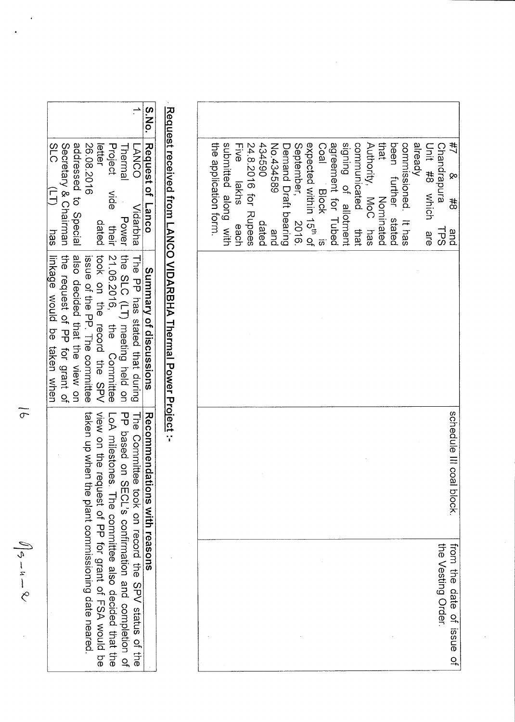| the application form. | submitted along with | <b>Five</b><br>lakhs<br>each | 24.8.2016 for Rupees | 0694590<br>dated | No.434589<br>and | Demand Draft bearing | September<br>2016 | Unit allock<br>expected within 15 <sup>th</sup> of | Coal Block | signing of allotment<br>agreement for Tubed | communicated<br>that | that Nominated<br>Authority, MoC has | been further stated | commissioned. It has | already | Unit #8 Arich are | Chandrapura<br>153 | 井<br><b>ٻ</b><br>#8<br>and |
|-----------------------|----------------------|------------------------------|----------------------|------------------|------------------|----------------------|-------------------|----------------------------------------------------|------------|---------------------------------------------|----------------------|--------------------------------------|---------------------|----------------------|---------|-------------------|--------------------|----------------------------|
|                       |                      |                              |                      |                  |                  |                      |                   |                                                    |            |                                             |                      |                                      |                     |                      |         |                   |                    |                            |
|                       |                      |                              |                      |                  |                  |                      |                   |                                                    |            |                                             |                      |                                      |                     |                      |         |                   |                    | schedule III coal block    |
|                       |                      |                              |                      |                  |                  |                      |                   |                                                    |            |                                             |                      |                                      |                     |                      |         |                   | the Vesting Order. | from the date of issue of  |

# Request received from LANCO VIDARBHA Thermal Power Project :-

| S.No. Request of Lanco |      | Summary of discussions                                | Recommendations with reasons                                                                |
|------------------------|------|-------------------------------------------------------|---------------------------------------------------------------------------------------------|
| <b>LANCO</b>           |      |                                                       | Vidarbra [Hre PP ras stated that during] Hre Committee took on record the SPV status of the |
| Thermal                |      |                                                       | Power the SLC (LT) meeting held on SECL's confirmation and completion of                    |
| Project                | vide | their 21.06.2016, the Committee LoA milestones.       | The connittee also decided that the                                                         |
| letter                 |      |                                                       | dated took on the record the SPV view on the request of PP for grant of FSP would be        |
| 26.08.2016             |      |                                                       | issue of the PP. The committee   taken up when the plant commissioning date neared          |
|                        |      | addressed to Special and decided that the view on     |                                                                                             |
|                        |      | Secretary & Chairman   the request of PP for grant of |                                                                                             |
| <b>SLC</b>             |      | (LT) tras linkage would be taken when                 |                                                                                             |

 $\overline{\sigma}$ 

 $\iint_{\mathfrak{S}} -u - \mathfrak{L}$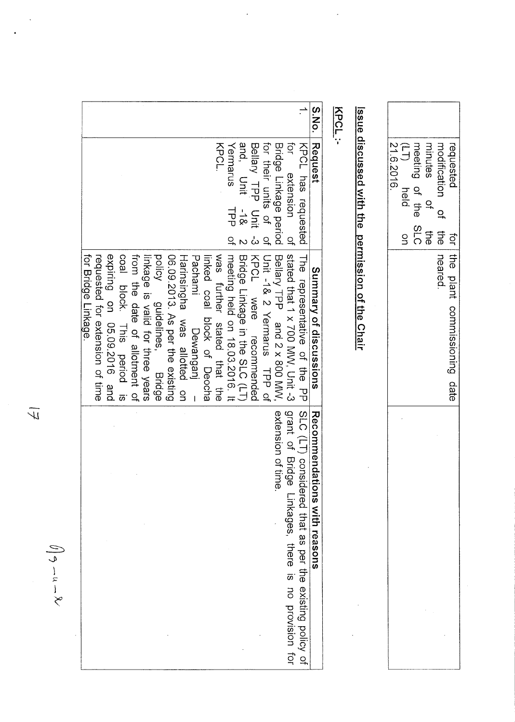|                                                                                                                                                                                                                         |                                                                                                                                                                                                                            |                                                                                                                                                            | S.No.                        | KPCL:                                            |                                                                                             |                                                         |
|-------------------------------------------------------------------------------------------------------------------------------------------------------------------------------------------------------------------------|----------------------------------------------------------------------------------------------------------------------------------------------------------------------------------------------------------------------------|------------------------------------------------------------------------------------------------------------------------------------------------------------|------------------------------|--------------------------------------------------|---------------------------------------------------------------------------------------------|---------------------------------------------------------|
|                                                                                                                                                                                                                         | and, Unit<br>KPCL.<br>Yermarus<br>$\frac{1}{8}$<br>긩<br>$\overline{a}$                                                                                                                                                     | for their units of<br>ņ<br>Bellary TPP Unit<br>Bridge Linkage period<br>KPCL has requested<br>extension<br>$\frac{1}{2}$<br>$\overline{C}$                 | Request                      | Issue discussed with the permission of the Chair | 21.6.2016.<br>meeting of the<br>minutes<br>ר<br>כ<br>held<br>Q<br>SLC<br>$\frac{1}{9}$<br>S | modification<br>requested<br>으<br>the<br><br><b>ior</b> |
| expiring on 05.09.2016 and<br>coal block. This<br>from the date of allotment of<br>policy<br>for Bridge Linkage.<br>requested for extension of time<br>linkage is valid for three years<br>guidelines, Bridge<br>period | was further stated that the<br>06.09.2013. As per the existing<br>Bridge Linkage in the SLC (LT)<br>meeting held on 18.03.2016. It<br>Pachami<br>Harinsingha was allotted<br>linked coal block of Deocha<br>Dewanganj<br>g | stated that 1 x 700 MW, Unit -3<br>Bellary TPP and 2 x 800 MW<br>KPCL Were<br>Unit -18 2 Yermarus<br>The representative of the PP<br>recommended<br>TPP of | Summary of discussions       |                                                  |                                                                                             | the plant<br>neared<br>commissioning date               |
|                                                                                                                                                                                                                         |                                                                                                                                                                                                                            | SLC (LT) considered that as per the existing policy of<br>grant of Bridge<br>extension of time<br>Linkages, there is no provision for                      | Recommendations with reasons |                                                  |                                                                                             |                                                         |

 $\overline{\phantom{a}}$ 

 $\frac{1}{2}$ 

 $\frac{1}{7}$ 

 $\ddot{\phantom{0}}$ 

 $\ddot{\phantom{1}}$ 

 $\bigcap \gamma - u - \chi$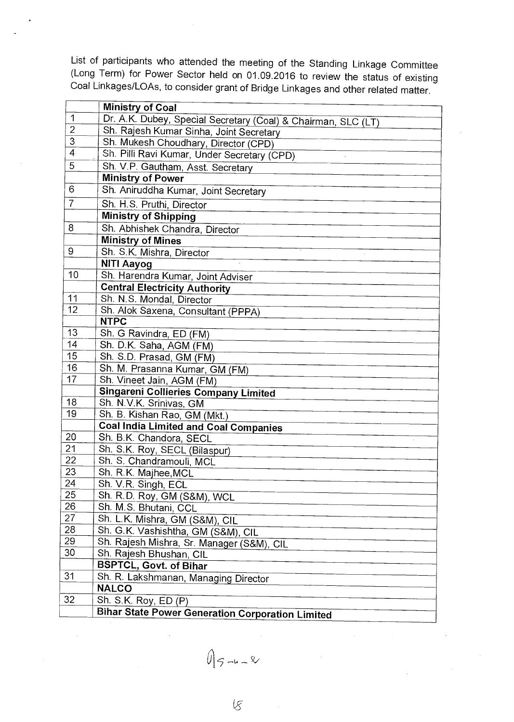List of participants who attended the meeting of the Standing Linkage Committee (Long Term) for Power Sector held on 01.09.2016 to review the status of existing Coal Linkages/LOAs, to consider grant of Bridge Linkages and other related matter.

|                       | <b>Ministry of Coal</b>                                              |
|-----------------------|----------------------------------------------------------------------|
| $\mathbf{1}$          | Dr. A.K. Dubey, Special Secretary (Coal) & Chairman, SLC (LT)        |
| $\overline{2}$        | Sh. Rajesh Kumar Sinha, Joint Secretary                              |
| $\overline{3}$        | Sh. Mukesh Choudhary, Director (CPD)                                 |
| $\overline{4}$        | Sh. Pilli Ravi Kumar, Under Secretary (CPD)                          |
| $\overline{5}$        | Sh. V.P. Gautham, Asst. Secretary                                    |
|                       | <b>Ministry of Power</b>                                             |
| 6                     | Sh. Aniruddha Kumar, Joint Secretary                                 |
| $\overline{7}$        | Sh. H.S. Pruthi, Director                                            |
|                       | <b>Ministry of Shipping</b>                                          |
| 8                     | Sh. Abhishek Chandra, Director                                       |
|                       | <b>Ministry of Mines</b>                                             |
| 9                     | Sh. S.K. Mishra, Director                                            |
|                       | <b>NITI Aayog</b>                                                    |
| 10                    | Sh. Harendra Kumar, Joint Adviser                                    |
|                       | <b>Central Electricity Authority</b>                                 |
| 11                    | Sh. N.S. Mondal, Director                                            |
| 12                    | Sh. Alok Saxena, Consultant (PPPA)                                   |
|                       | <b>NTPC</b>                                                          |
| 13                    | Sh. G Ravindra, ED (FM)                                              |
| 14                    | Sh. D.K. Saha, AGM (FM)                                              |
| 15                    | Sh. S.D. Prasad, GM (FM)                                             |
| 16                    | Sh. M. Prasanna Kumar, GM (FM)                                       |
| 17                    | Sh. Vineet Jain, AGM (FM)                                            |
|                       | <b>Singareni Collieries Company Limited</b>                          |
| 18                    | Sh. N.V.K. Srinivas, GM                                              |
| 19                    | Sh. B. Kishan Rao, GM (Mkt.)                                         |
|                       | <b>Coal India Limited and Coal Companies</b>                         |
| 20                    | Sh. B.K. Chandora, SECL                                              |
| 21<br>$\overline{22}$ | Sh. S.K. Roy, SECL (Bilaspur)                                        |
|                       | Sh. S. Chandramouli, MCL                                             |
| 23<br>24              | Sh. R.K. Majhee, MCL                                                 |
| 25                    | Sh. V.R. Singh, ECL                                                  |
| 26                    | Sh. R.D. Roy, GM (S&M), WCL                                          |
| 27                    | Sh. M.S. Bhutani, CCL                                                |
| 28                    | Sh. L.K. Mishra, GM (S&M), CIL                                       |
| 29                    | Sh. G.K. Vashishtha, GM (S&M), CIL                                   |
| 30                    | Sh. Rajesh Mishra, Sr. Manager (S&M), CIL<br>Sh. Rajesh Bhushan, CIL |
|                       | <b>BSPTCL, Govt. of Bihar</b>                                        |
| 31                    | Sh. R. Lakshmanan, Managing Director                                 |
|                       | <b>NALCO</b>                                                         |
| 32                    | Sh. S.K. Roy, ED (P)                                                 |
|                       | <b>Bihar State Power Generation Corporation Limited</b>              |
|                       |                                                                      |

 $0|5 - 4 - 8$ 

 $\overline{\mathcal{G}}$